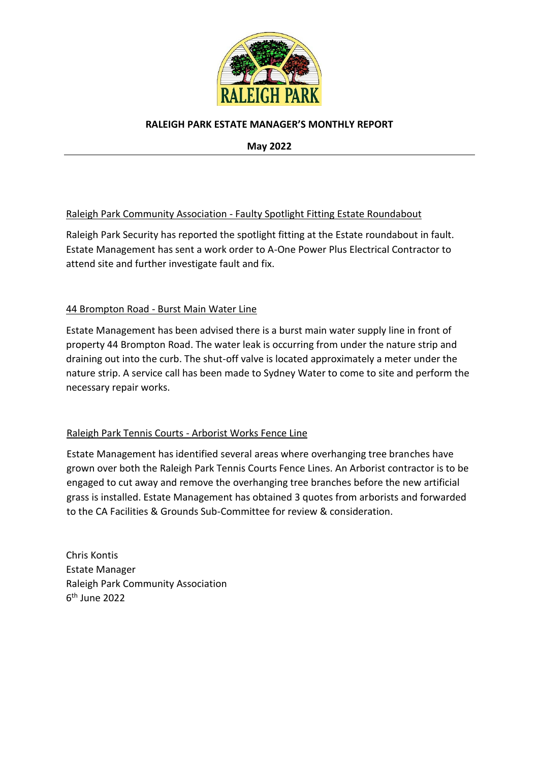

## **RALEIGH PARK ESTATE MANAGER'S MONTHLY REPORT**

**May 2022**

## Raleigh Park Community Association - Faulty Spotlight Fitting Estate Roundabout

Raleigh Park Security has reported the spotlight fitting at the Estate roundabout in fault. Estate Management has sent a work order to A-One Power Plus Electrical Contractor to attend site and further investigate fault and fix.

## 44 Brompton Road - Burst Main Water Line

Estate Management has been advised there is a burst main water supply line in front of property 44 Brompton Road. The water leak is occurring from under the nature strip and draining out into the curb. The shut-off valve is located approximately a meter under the nature strip. A service call has been made to Sydney Water to come to site and perform the necessary repair works.

## Raleigh Park Tennis Courts - Arborist Works Fence Line

Estate Management has identified several areas where overhanging tree branches have grown over both the Raleigh Park Tennis Courts Fence Lines. An Arborist contractor is to be engaged to cut away and remove the overhanging tree branches before the new artificial grass is installed. Estate Management has obtained 3 quotes from arborists and forwarded to the CA Facilities & Grounds Sub-Committee for review & consideration.

Chris Kontis Estate Manager Raleigh Park Community Association 6 th June 2022